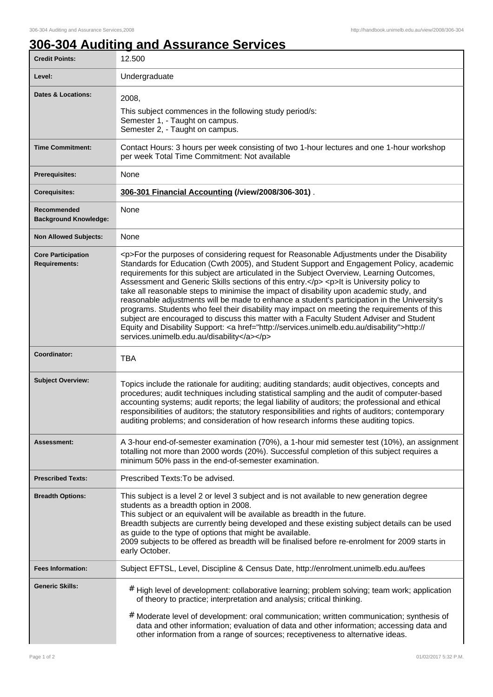## **306-304 Auditing and Assurance Services**

| <b>Credit Points:</b>                             | 12.500                                                                                                                                                                                                                                                                                                                                                                                                                                                                                                                                                                                                                                                                                                                                                                                                                                                                                                                       |
|---------------------------------------------------|------------------------------------------------------------------------------------------------------------------------------------------------------------------------------------------------------------------------------------------------------------------------------------------------------------------------------------------------------------------------------------------------------------------------------------------------------------------------------------------------------------------------------------------------------------------------------------------------------------------------------------------------------------------------------------------------------------------------------------------------------------------------------------------------------------------------------------------------------------------------------------------------------------------------------|
| Level:                                            | Undergraduate                                                                                                                                                                                                                                                                                                                                                                                                                                                                                                                                                                                                                                                                                                                                                                                                                                                                                                                |
| <b>Dates &amp; Locations:</b>                     | 2008,<br>This subject commences in the following study period/s:<br>Semester 1, - Taught on campus.<br>Semester 2, - Taught on campus.                                                                                                                                                                                                                                                                                                                                                                                                                                                                                                                                                                                                                                                                                                                                                                                       |
| <b>Time Commitment:</b>                           | Contact Hours: 3 hours per week consisting of two 1-hour lectures and one 1-hour workshop<br>per week Total Time Commitment: Not available                                                                                                                                                                                                                                                                                                                                                                                                                                                                                                                                                                                                                                                                                                                                                                                   |
| <b>Prerequisites:</b>                             | None                                                                                                                                                                                                                                                                                                                                                                                                                                                                                                                                                                                                                                                                                                                                                                                                                                                                                                                         |
| <b>Corequisites:</b>                              | 306-301 Financial Accounting (/view/2008/306-301).                                                                                                                                                                                                                                                                                                                                                                                                                                                                                                                                                                                                                                                                                                                                                                                                                                                                           |
| Recommended<br><b>Background Knowledge:</b>       | None                                                                                                                                                                                                                                                                                                                                                                                                                                                                                                                                                                                                                                                                                                                                                                                                                                                                                                                         |
| <b>Non Allowed Subjects:</b>                      | None                                                                                                                                                                                                                                                                                                                                                                                                                                                                                                                                                                                                                                                                                                                                                                                                                                                                                                                         |
| <b>Core Participation</b><br><b>Requirements:</b> | <p>For the purposes of considering request for Reasonable Adjustments under the Disability<br/>Standards for Education (Cwth 2005), and Student Support and Engagement Policy, academic<br/>requirements for this subject are articulated in the Subject Overview, Learning Outcomes,<br/>Assessment and Generic Skills sections of this entry.</p> <p>lt is University policy to<br/>take all reasonable steps to minimise the impact of disability upon academic study, and<br/>reasonable adjustments will be made to enhance a student's participation in the University's<br/>programs. Students who feel their disability may impact on meeting the requirements of this<br/>subject are encouraged to discuss this matter with a Faculty Student Adviser and Student<br/>Equity and Disability Support: &lt; a href="http://services.unimelb.edu.au/disability"&gt;http://<br/>services.unimelb.edu.au/disability</p> |
| Coordinator:                                      | <b>TBA</b>                                                                                                                                                                                                                                                                                                                                                                                                                                                                                                                                                                                                                                                                                                                                                                                                                                                                                                                   |
| <b>Subject Overview:</b>                          | Topics include the rationale for auditing; auditing standards; audit objectives, concepts and<br>procedures; audit techniques including statistical sampling and the audit of computer-based<br>accounting systems; audit reports; the legal liability of auditors; the professional and ethical<br>responsibilities of auditors; the statutory responsibilities and rights of auditors; contemporary<br>auditing problems; and consideration of how research informs these auditing topics.                                                                                                                                                                                                                                                                                                                                                                                                                                 |
| Assessment:                                       | A 3-hour end-of-semester examination (70%), a 1-hour mid semester test (10%), an assignment<br>totalling not more than 2000 words (20%). Successful completion of this subject requires a<br>minimum 50% pass in the end-of-semester examination.                                                                                                                                                                                                                                                                                                                                                                                                                                                                                                                                                                                                                                                                            |
| <b>Prescribed Texts:</b>                          | Prescribed Texts: To be advised.                                                                                                                                                                                                                                                                                                                                                                                                                                                                                                                                                                                                                                                                                                                                                                                                                                                                                             |
| <b>Breadth Options:</b>                           | This subject is a level 2 or level 3 subject and is not available to new generation degree<br>students as a breadth option in 2008.<br>This subject or an equivalent will be available as breadth in the future.<br>Breadth subjects are currently being developed and these existing subject details can be used<br>as guide to the type of options that might be available.<br>2009 subjects to be offered as breadth will be finalised before re-enrolment for 2009 starts in<br>early October.                                                                                                                                                                                                                                                                                                                                                                                                                           |
| <b>Fees Information:</b>                          | Subject EFTSL, Level, Discipline & Census Date, http://enrolment.unimelb.edu.au/fees                                                                                                                                                                                                                                                                                                                                                                                                                                                                                                                                                                                                                                                                                                                                                                                                                                         |
| <b>Generic Skills:</b>                            | # High level of development: collaborative learning; problem solving; team work; application<br>of theory to practice; interpretation and analysis; critical thinking.<br># Moderate level of development: oral communication; written communication; synthesis of<br>data and other information; evaluation of data and other information; accessing data and<br>other information from a range of sources; receptiveness to alternative ideas.                                                                                                                                                                                                                                                                                                                                                                                                                                                                             |